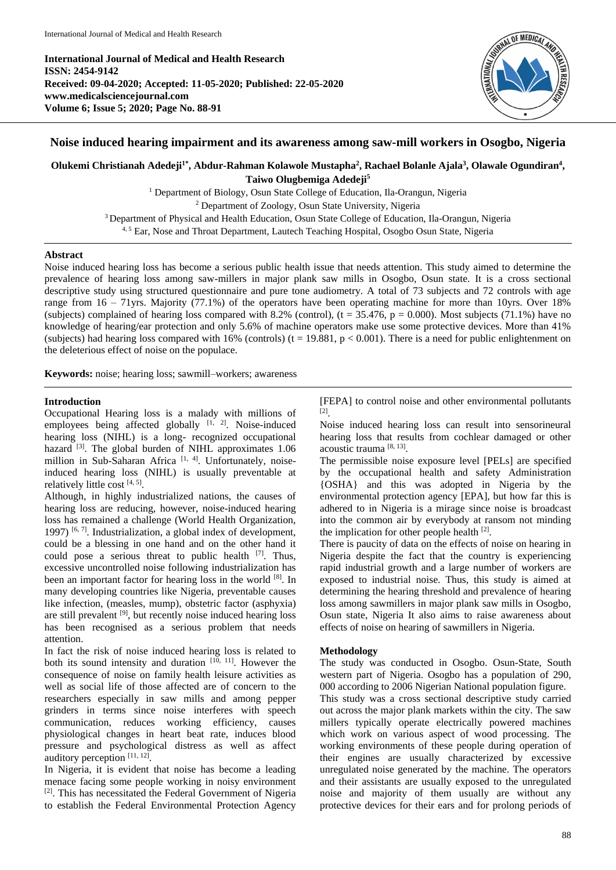**International Journal of Medical and Health Research ISSN: 2454-9142 Received: 09-04-2020; Accepted: 11-05-2020; Published: 22-05-2020 www.medicalsciencejournal.com Volume 6; Issue 5; 2020; Page No. 88-91**



## **Noise induced hearing impairment and its awareness among saw-mill workers in Osogbo, Nigeria**

**Olukemi Christianah Adedeji1\* , Abdur-Rahman Kolawole Mustapha<sup>2</sup> , Rachael Bolanle Ajala<sup>3</sup> , Olawale Ogundiran<sup>4</sup> , Taiwo Olugbemiga Adedeji<sup>5</sup>**

> <sup>1</sup> Department of Biology, Osun State College of Education, Ila-Orangun, Nigeria <sup>2</sup> Department of Zoology, Osun State University, Nigeria <sup>3</sup> Department of Physical and Health Education, Osun State College of Education, Ila-Orangun, Nigeria <sup>4, 5</sup> Ear, Nose and Throat Department, Lautech Teaching Hospital, Osogbo Osun State, Nigeria

# **Abstract**

Noise induced hearing loss has become a serious public health issue that needs attention. This study aimed to determine the prevalence of hearing loss among saw-millers in major plank saw mills in Osogbo, Osun state. It is a cross sectional descriptive study using structured questionnaire and pure tone audiometry. A total of 73 subjects and 72 controls with age range from 16 – 71yrs. Majority (77.1%) of the operators have been operating machine for more than 10yrs. Over 18% (subjects) complained of hearing loss compared with 8.2% (control),  $(t = 35.476, p = 0.000)$ . Most subjects (71.1%) have no knowledge of hearing/ear protection and only 5.6% of machine operators make use some protective devices. More than 41% (subjects) had hearing loss compared with 16% (controls) ( $t = 19.881$ ,  $p < 0.001$ ). There is a need for public enlightenment on the deleterious effect of noise on the populace.

**Keywords:** noise; hearing loss; sawmill–workers; awareness

### **Introduction**

Occupational Hearing loss is a malady with millions of employees being affected globally  $[1, 2]$ . Noise-induced hearing loss (NIHL) is a long- recognized occupational hazard  $^{[3]}$ . The global burden of NIHL approximates 1.06 million in Sub-Saharan Africa<sup>[1, 4]</sup>. Unfortunately, noiseinduced hearing loss (NIHL) is usually preventable at relatively little cost  $[4, 5]$ .

Although, in highly industrialized nations, the causes of hearing loss are reducing, however, noise-induced hearing loss has remained a challenge (World Health Organization, 1997)<sup>[6, 7]</sup>. Industrialization, a global index of development, could be a blessing in one hand and on the other hand it could pose a serious threat to public health  $[7]$ . Thus, excessive uncontrolled noise following industrialization has been an important factor for hearing loss in the world [8]. In many developing countries like Nigeria, preventable causes like infection, (measles, mump), obstetric factor (asphyxia) are still prevalent [9], but recently noise induced hearing loss has been recognised as a serious problem that needs attention.

In fact the risk of noise induced hearing loss is related to both its sound intensity and duration  $[10, 11]$ . However the consequence of noise on family health leisure activities as well as social life of those affected are of concern to the researchers especially in saw mills and among pepper grinders in terms since noise interferes with speech communication, reduces working efficiency, causes physiological changes in heart beat rate, induces blood pressure and psychological distress as well as affect auditory perception [11, 12].

In Nigeria, it is evident that noise has become a leading menace facing some people working in noisy environment [2] . This has necessitated the Federal Government of Nigeria to establish the Federal Environmental Protection Agency

[FEPA] to control noise and other environmental pollutants [2] .

Noise induced hearing loss can result into sensorineural hearing loss that results from cochlear damaged or other acoustic trauma [8, 13] .

The permissible noise exposure level [PELs] are specified by the occupational health and safety Administration {OSHA} and this was adopted in Nigeria by the environmental protection agency [EPA], but how far this is adhered to in Nigeria is a mirage since noise is broadcast into the common air by everybody at ransom not minding the implication for other people health [2].

There is paucity of data on the effects of noise on hearing in Nigeria despite the fact that the country is experiencing rapid industrial growth and a large number of workers are exposed to industrial noise. Thus, this study is aimed at determining the hearing threshold and prevalence of hearing loss among sawmillers in major plank saw mills in Osogbo, Osun state, Nigeria It also aims to raise awareness about effects of noise on hearing of sawmillers in Nigeria.

#### **Methodology**

The study was conducted in Osogbo. Osun-State, South western part of Nigeria. Osogbo has a population of 290, 000 according to 2006 Nigerian National population figure. This study was a cross sectional descriptive study carried out across the major plank markets within the city. The saw millers typically operate electrically powered machines which work on various aspect of wood processing. The working environments of these people during operation of their engines are usually characterized by excessive unregulated noise generated by the machine. The operators and their assistants are usually exposed to the unregulated noise and majority of them usually are without any protective devices for their ears and for prolong periods of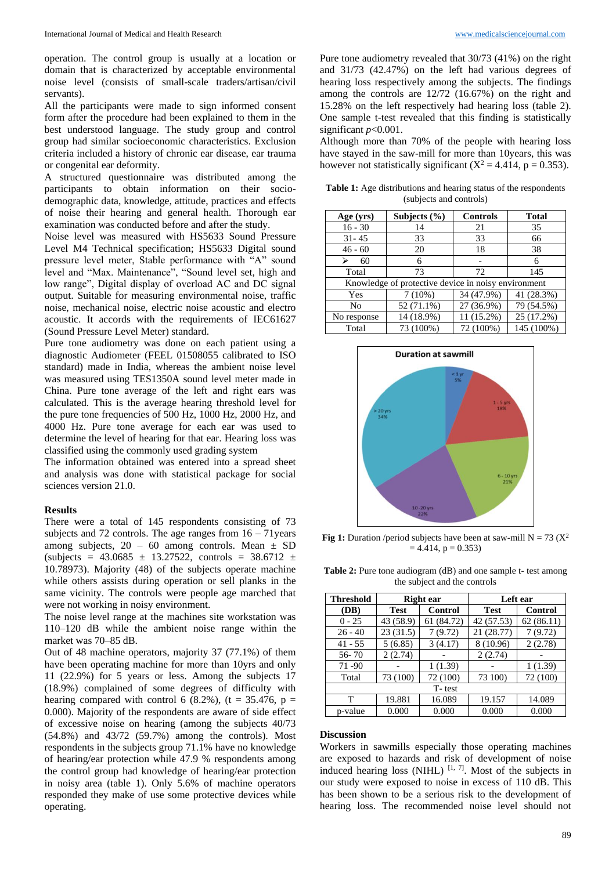operation. The control group is usually at a location or domain that is characterized by acceptable environmental noise level (consists of small-scale traders/artisan/civil servants).

All the participants were made to sign informed consent form after the procedure had been explained to them in the best understood language. The study group and control group had similar socioeconomic characteristics. Exclusion criteria included a history of chronic ear disease, ear trauma or congenital ear deformity.

A structured questionnaire was distributed among the participants to obtain information on their sociodemographic data, knowledge, attitude, practices and effects of noise their hearing and general health. Thorough ear examination was conducted before and after the study.

Noise level was measured with HS5633 Sound Pressure Level M4 Technical specification; HS5633 Digital sound pressure level meter, Stable performance with "A" sound level and "Max. Maintenance", "Sound level set, high and low range", Digital display of overload AC and DC signal output. Suitable for measuring environmental noise, traffic noise, mechanical noise, electric noise acoustic and electro acoustic. It accords with the requirements of IEC61627 (Sound Pressure Level Meter) standard.

Pure tone audiometry was done on each patient using a diagnostic Audiometer (FEEL 01508055 calibrated to ISO standard) made in India, whereas the ambient noise level was measured using TES1350A sound level meter made in China. Pure tone average of the left and right ears was calculated. This is the average hearing threshold level for the pure tone frequencies of 500 Hz, 1000 Hz, 2000 Hz, and 4000 Hz. Pure tone average for each ear was used to determine the level of hearing for that ear. Hearing loss was classified using the commonly used grading system

The information obtained was entered into a spread sheet and analysis was done with statistical package for social sciences version 21.0.

#### **Results**

There were a total of 145 respondents consisting of 73 subjects and 72 controls. The age ranges from  $16 - 71$  years among subjects,  $20 - 60$  among controls. Mean  $\pm$  SD  $(subjects = 43.0685 \pm 13.27522$ , controls = 38.6712 ± 10.78973). Majority (48) of the subjects operate machine while others assists during operation or sell planks in the same vicinity. The controls were people age marched that were not working in noisy environment.

The noise level range at the machines site workstation was 110–120 dB while the ambient noise range within the market was 70–85 dB.

Out of 48 machine operators, majority 37 (77.1%) of them have been operating machine for more than 10yrs and only 11 (22.9%) for 5 years or less. Among the subjects 17 (18.9%) complained of some degrees of difficulty with hearing compared with control 6 (8.2%), (t = 35.476,  $p =$ 0.000). Majority of the respondents are aware of side effect of excessive noise on hearing (among the subjects 40/73 (54.8%) and 43/72 (59.7%) among the controls). Most respondents in the subjects group 71.1% have no knowledge of hearing/ear protection while 47.9 % respondents among the control group had knowledge of hearing/ear protection in noisy area (table 1). Only 5.6% of machine operators responded they make of use some protective devices while operating.

Pure tone audiometry revealed that 30/73 (41%) on the right and 31/73 (42.47%) on the left had various degrees of hearing loss respectively among the subjects. The findings among the controls are 12/72 (16.67%) on the right and 15.28% on the left respectively had hearing loss (table 2). One sample t-test revealed that this finding is statistically significant *p*<0.001.

Although more than 70% of the people with hearing loss have stayed in the saw-mill for more than 10years, this was however not statistically significant  $(X^2 = 4.414, p = 0.353)$ .

**Table 1:** Age distributions and hearing status of the respondents (subjects and controls)

| Age (yrs)                                           | Subjects $(\% )$ | <b>Controls</b> | <b>Total</b> |  |  |  |
|-----------------------------------------------------|------------------|-----------------|--------------|--|--|--|
| $16 - 30$                                           | 14               | 21              | 35           |  |  |  |
| $31 - 45$                                           | 33               | 33              | 66           |  |  |  |
| $46 - 60$                                           | 20               | 18              | 38           |  |  |  |
| 60                                                  | 6                |                 | 6            |  |  |  |
| Total                                               | 73               | 72              | 145          |  |  |  |
| Knowledge of protective device in noisy environment |                  |                 |              |  |  |  |
| Yes                                                 | $7(10\%)$        | 34 (47.9%)      | 41 (28.3%)   |  |  |  |
| No                                                  | 52 (71.1%)       | 27 (36.9%)      | 79 (54.5%)   |  |  |  |
| No response                                         | 14 (18.9%)       | 11 (15.2%)      | 25 (17.2%)   |  |  |  |
| Total                                               | 73 (100%)        | 72 (100%)       | 145 (100%)   |  |  |  |



**Fig 1:** Duration /period subjects have been at saw-mill  $N = 73 (X^2)$  $= 4.414$ ,  $p = 0.353$ 

**Table 2:** Pure tone audiogram (dB) and one sample t- test among the subject and the controls

| <b>Threshold</b> | Right ear   |                | Left ear    |                |  |  |
|------------------|-------------|----------------|-------------|----------------|--|--|
| (DB)             | <b>Test</b> | <b>Control</b> | <b>Test</b> | <b>Control</b> |  |  |
| $0 - 25$         | 43 (58.9)   | 61 (84.72)     | 42 (57.53)  | 62(86.11)      |  |  |
| $26 - 40$        | 23(31.5)    | 7(9.72)        | 21 (28.77)  | 7(9.72)        |  |  |
| $41 - 55$        | 5(6.85)     | 3(4.17)        | 8 (10.96)   | 2(2.78)        |  |  |
| $56 - 70$        | 2(2.74)     |                | 2(2.74)     |                |  |  |
| 71 - 90          |             | 1(1.39)        |             | 1(1.39)        |  |  |
| Total            | 73 (100)    | 72 (100)       | 73 100)     | 72 (100)       |  |  |
| T-test           |             |                |             |                |  |  |
| т                | 19.881      | 16.089         | 19.157      | 14.089         |  |  |
| p-value          | 0.000       | 0.000          | 0.000       | 0.000          |  |  |

#### **Discussion**

Workers in sawmills especially those operating machines are exposed to hazards and risk of development of noise induced hearing loss (NIHL)  $[1, 7]$ . Most of the subjects in our study were exposed to noise in excess of 110 dB. This has been shown to be a serious risk to the development of hearing loss. The recommended noise level should not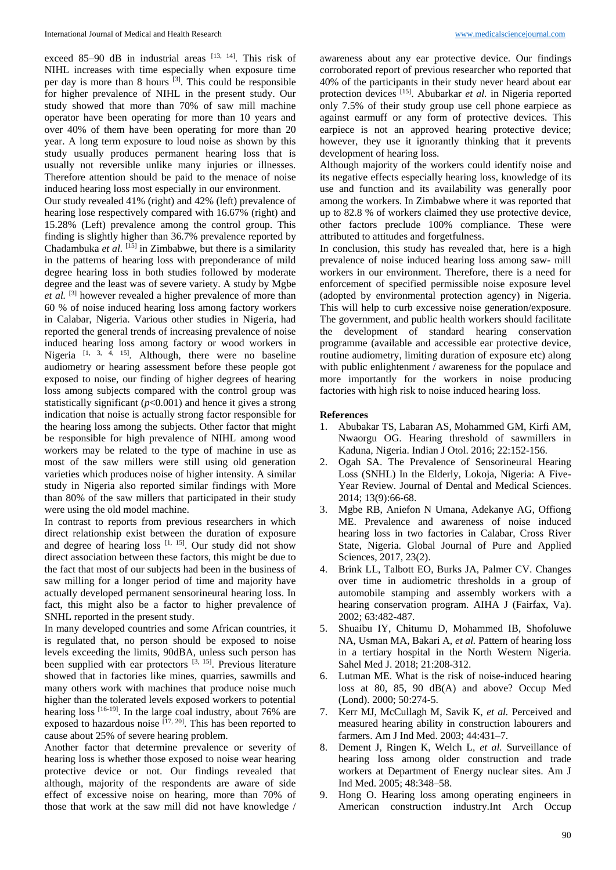exceed 85–90 dB in industrial areas  $[13, 14]$ . This risk of NIHL increases with time especially when exposure time per day is more than 8 hours <sup>[3]</sup>. This could be responsible for higher prevalence of NIHL in the present study. Our study showed that more than 70% of saw mill machine operator have been operating for more than 10 years and over 40% of them have been operating for more than 20 year. A long term exposure to loud noise as shown by this study usually produces permanent hearing loss that is usually not reversible unlike many injuries or illnesses. Therefore attention should be paid to the menace of noise induced hearing loss most especially in our environment.

Our study revealed 41% (right) and 42% (left) prevalence of hearing lose respectively compared with 16.67% (right) and 15.28% (Left) prevalence among the control group. This finding is slightly higher than 36.7% prevalence reported by Chadambuka *et al.* [15] in Zimbabwe, but there is a similarity in the patterns of hearing loss with preponderance of mild degree hearing loss in both studies followed by moderate degree and the least was of severe variety. A study by Mgbe et al. <sup>[3]</sup> however revealed a higher prevalence of more than 60 % of noise induced hearing loss among factory workers in Calabar, Nigeria. Various other studies in Nigeria, had reported the general trends of increasing prevalence of noise induced hearing loss among factory or wood workers in Nigeria  $[1, 3, 4, 15]$ . Although, there were no baseline audiometry or hearing assessment before these people got exposed to noise, our finding of higher degrees of hearing loss among subjects compared with the control group was statistically significant (*p*<0.001) and hence it gives a strong indication that noise is actually strong factor responsible for the hearing loss among the subjects. Other factor that might be responsible for high prevalence of NIHL among wood workers may be related to the type of machine in use as most of the saw millers were still using old generation varieties which produces noise of higher intensity. A similar study in Nigeria also reported similar findings with More than 80% of the saw millers that participated in their study were using the old model machine.

In contrast to reports from previous researchers in which direct relationship exist between the duration of exposure and degree of hearing loss  $[1, 15]$ . Our study did not show direct association between these factors, this might be due to the fact that most of our subjects had been in the business of saw milling for a longer period of time and majority have actually developed permanent sensorineural hearing loss. In fact, this might also be a factor to higher prevalence of SNHL reported in the present study.

In many developed countries and some African countries, it is regulated that, no person should be exposed to noise levels exceeding the limits, 90dBA, unless such person has been supplied with ear protectors  $[3, 15]$ . Previous literature showed that in factories like mines, quarries, sawmills and many others work with machines that produce noise much higher than the tolerated levels exposed workers to potential hearing loss <sup>[16-19]</sup>. In the large coal industry, about 76% are exposed to hazardous noise  $[17, 20]$ . This has been reported to cause about 25% of severe hearing problem.

Another factor that determine prevalence or severity of hearing loss is whether those exposed to noise wear hearing protective device or not. Our findings revealed that although, majority of the respondents are aware of side effect of excessive noise on hearing, more than 70% of those that work at the saw mill did not have knowledge /

awareness about any ear protective device. Our findings corroborated report of previous researcher who reported that 40% of the participants in their study never heard about ear protection devices [15]. Abubarkar et al. in Nigeria reported only 7.5% of their study group use cell phone earpiece as against earmuff or any form of protective devices. This earpiece is not an approved hearing protective device; however, they use it ignorantly thinking that it prevents development of hearing loss.

Although majority of the workers could identify noise and its negative effects especially hearing loss, knowledge of its use and function and its availability was generally poor among the workers. In Zimbabwe where it was reported that up to 82.8 % of workers claimed they use protective device, other factors preclude 100% compliance. These were attributed to attitudes and forgetfulness.

In conclusion, this study has revealed that, here is a high prevalence of noise induced hearing loss among saw- mill workers in our environment. Therefore, there is a need for enforcement of specified permissible noise exposure level (adopted by environmental protection agency) in Nigeria. This will help to curb excessive noise generation/exposure. The government, and public health workers should facilitate the development of standard hearing conservation programme (available and accessible ear protective device, routine audiometry, limiting duration of exposure etc) along with public enlightenment / awareness for the populace and more importantly for the workers in noise producing factories with high risk to noise induced hearing loss.

#### **References**

- 1. Abubakar TS, Labaran AS, Mohammed GM, Kirfi AM, Nwaorgu OG. Hearing threshold of sawmillers in Kaduna, Nigeria. Indian J Otol. 2016; 22:152-156.
- 2. Ogah SA. The Prevalence of Sensorineural Hearing Loss (SNHL) In the Elderly, Lokoja, Nigeria: A Five-Year Review. Journal of Dental and Medical Sciences. 2014; 13(9):66-68.
- 3. Mgbe RB, Aniefon N Umana, Adekanye AG, Offiong ME. Prevalence and awareness of noise induced hearing loss in two factories in Calabar, Cross River State, Nigeria. Global Journal of Pure and Applied Sciences, 2017, 23(2).
- 4. Brink LL, Talbott EO, Burks JA, Palmer CV. Changes over time in audiometric thresholds in a group of automobile stamping and assembly workers with a hearing conservation program. AIHA J (Fairfax, Va). 2002; 63:482-487.
- 5. Shuaibu IY, Chitumu D, Mohammed IB, Shofoluwe NA, Usman MA, Bakari A, *et al.* Pattern of hearing loss in a tertiary hospital in the North Western Nigeria. Sahel Med J. 2018; 21:208-312.
- 6. Lutman ME. What is the risk of noise-induced hearing loss at 80, 85, 90 dB(A) and above? Occup Med (Lond). 2000; 50:274-5.
- 7. Kerr MJ, McCullagh M, Savik K, *et al.* Perceived and measured hearing ability in construction labourers and farmers. Am J Ind Med. 2003; 44:431–7.
- 8. Dement J, Ringen K, Welch L, *et al.* Surveillance of hearing loss among older construction and trade workers at Department of Energy nuclear sites. Am J Ind Med. 2005; 48:348–58.
- 9. Hong O. Hearing loss among operating engineers in American construction industry.Int Arch Occup